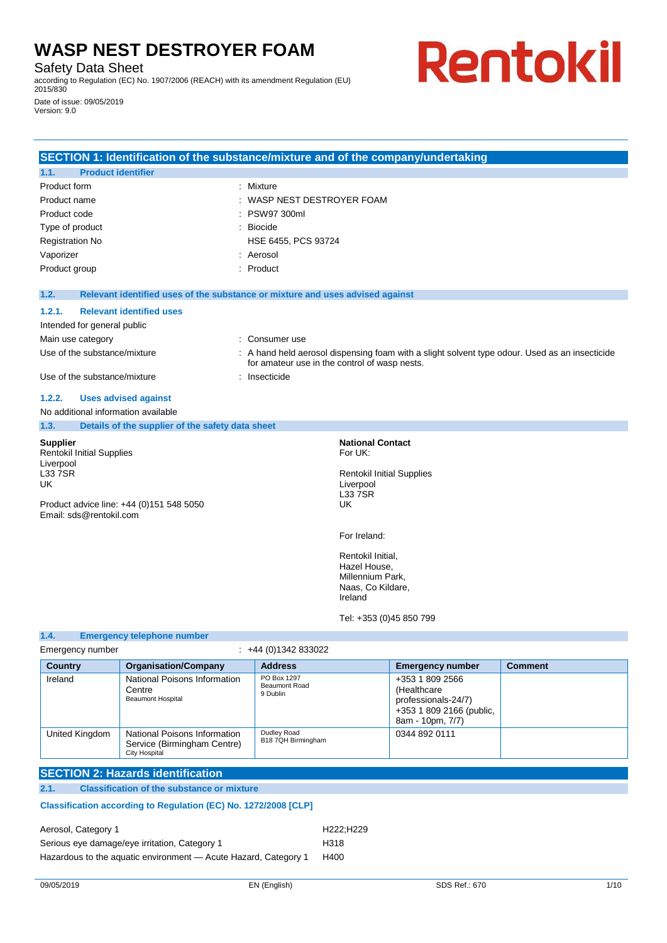Safety Data Sheet

according to Regulation (EC) No. 1907/2006 (REACH) with its amendment Regulation (EU) 2015/830

#### Date of issue: 09/05/2019 Version: 9.0

# Rentokil

|                                                                     | SECTION 1: Identification of the substance/mixture and of the company/undertaking |                                               |                                               |                         |                                                                                                |
|---------------------------------------------------------------------|-----------------------------------------------------------------------------------|-----------------------------------------------|-----------------------------------------------|-------------------------|------------------------------------------------------------------------------------------------|
| <b>Product identifier</b><br>1.1.                                   |                                                                                   |                                               |                                               |                         |                                                                                                |
| Product form                                                        |                                                                                   | Mixture                                       |                                               |                         |                                                                                                |
| Product name                                                        |                                                                                   | WASP NEST DESTROYER FOAM                      |                                               |                         |                                                                                                |
| Product code                                                        |                                                                                   | PSW97 300ml                                   |                                               |                         |                                                                                                |
| Type of product                                                     |                                                                                   | <b>Biocide</b>                                |                                               |                         |                                                                                                |
| <b>Registration No</b>                                              |                                                                                   | HSE 6455, PCS 93724                           |                                               |                         |                                                                                                |
| Vaporizer                                                           |                                                                                   | : Aerosol                                     |                                               |                         |                                                                                                |
| Product group                                                       |                                                                                   | Product                                       |                                               |                         |                                                                                                |
| 1.2.                                                                | Relevant identified uses of the substance or mixture and uses advised against     |                                               |                                               |                         |                                                                                                |
| 1.2.1.                                                              | <b>Relevant identified uses</b>                                                   |                                               |                                               |                         |                                                                                                |
| Intended for general public                                         |                                                                                   |                                               |                                               |                         |                                                                                                |
| Main use category                                                   |                                                                                   | Consumer use                                  |                                               |                         |                                                                                                |
| Use of the substance/mixture                                        |                                                                                   | for amateur use in the control of wasp nests. |                                               |                         | : A hand held aerosol dispensing foam with a slight solvent type odour. Used as an insecticide |
| Use of the substance/mixture                                        |                                                                                   | : Insecticide                                 |                                               |                         |                                                                                                |
| 1.2.2.                                                              | <b>Uses advised against</b>                                                       |                                               |                                               |                         |                                                                                                |
| No additional information available                                 |                                                                                   |                                               |                                               |                         |                                                                                                |
| 1.3.                                                                | Details of the supplier of the safety data sheet                                  |                                               |                                               |                         |                                                                                                |
| <b>Supplier</b><br><b>Rentokil Initial Supplies</b>                 |                                                                                   |                                               | <b>National Contact</b><br>For UK:            |                         |                                                                                                |
| Liverpool                                                           |                                                                                   |                                               |                                               |                         |                                                                                                |
| <b>L337SR</b><br>UK                                                 |                                                                                   |                                               | <b>Rentokil Initial Supplies</b><br>Liverpool |                         |                                                                                                |
|                                                                     |                                                                                   |                                               | <b>L337SR</b>                                 |                         |                                                                                                |
| Product advice line: +44 (0)151 548 5050<br>Email: sds@rentokil.com |                                                                                   | UK                                            |                                               |                         |                                                                                                |
|                                                                     |                                                                                   |                                               | For Ireland:                                  |                         |                                                                                                |
|                                                                     |                                                                                   |                                               | Rentokil Initial,                             |                         |                                                                                                |
|                                                                     |                                                                                   |                                               | Hazel House.                                  |                         |                                                                                                |
|                                                                     |                                                                                   |                                               | Millennium Park,                              |                         |                                                                                                |
|                                                                     |                                                                                   |                                               | Naas, Co Kildare,<br>Ireland                  |                         |                                                                                                |
|                                                                     |                                                                                   |                                               | Tel: +353 (0)45 850 799                       |                         |                                                                                                |
| 1.4.                                                                | <b>Emergency telephone number</b>                                                 |                                               |                                               |                         |                                                                                                |
| Emergency number                                                    |                                                                                   | $\div$ +44 (0)1342 833022                     |                                               |                         |                                                                                                |
| Country                                                             | <b>Organisation/Company</b>                                                       | <b>Address</b>                                |                                               | <b>Emergency number</b> | <b>Comment</b>                                                                                 |
| Ireland                                                             | National Poisons Information                                                      | PO Box 1297<br><b>Beaumont Road</b>           |                                               | +353 1 809 2566         |                                                                                                |
|                                                                     | Centre                                                                            | 9 Dublin                                      |                                               | (Healthcare             |                                                                                                |

| Dudley Road<br>National Poisons Information<br>United Kingdom<br>0344 892 0111<br>B18 7QH Birmingham<br>Service (Birmingham Centre)<br><b>City Hospital</b> | <b>Beaumont Hospital</b> | professionals-24/7)<br>+353 1 809 2166 (public,<br>8am - 10pm, 7/7) |  |
|-------------------------------------------------------------------------------------------------------------------------------------------------------------|--------------------------|---------------------------------------------------------------------|--|
|                                                                                                                                                             |                          |                                                                     |  |

**2.1. Classification of the substance or mixture**

### **Classification according to Regulation (EC) No. 1272/2008 [CLP]**

Aerosol, Category 1 **H222**;H229 Serious eye damage/eye irritation, Category 1 H318 Hazardous to the aquatic environment - Acute Hazard, Category 1 H400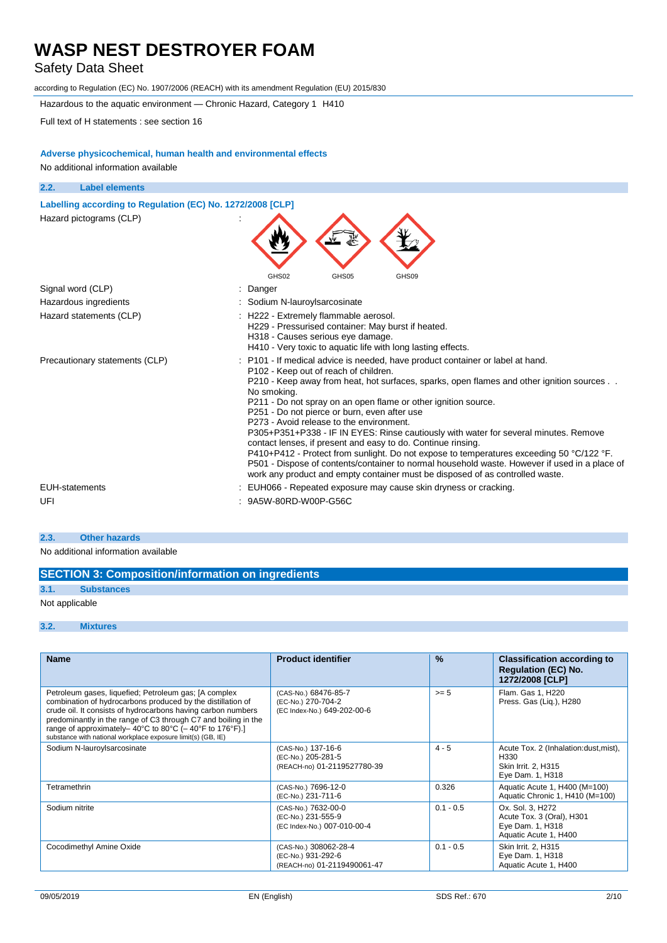## Safety Data Sheet

according to Regulation (EC) No. 1907/2006 (REACH) with its amendment Regulation (EU) 2015/830

Hazardous to the aquatic environment — Chronic Hazard, Category 1 H410

Full text of H statements : see section 16

#### **Adverse physicochemical, human health and environmental effects**

No additional information available

| 2.2. | <b>Label elements</b>                                      |                                                                                                                                                                                                                                                                                                                                                                                                                                                                                                                                                                                                                                                                                                                                                                                                                                      |  |  |
|------|------------------------------------------------------------|--------------------------------------------------------------------------------------------------------------------------------------------------------------------------------------------------------------------------------------------------------------------------------------------------------------------------------------------------------------------------------------------------------------------------------------------------------------------------------------------------------------------------------------------------------------------------------------------------------------------------------------------------------------------------------------------------------------------------------------------------------------------------------------------------------------------------------------|--|--|
|      | Labelling according to Regulation (EC) No. 1272/2008 [CLP] |                                                                                                                                                                                                                                                                                                                                                                                                                                                                                                                                                                                                                                                                                                                                                                                                                                      |  |  |
|      | Hazard pictograms (CLP)                                    | GHS02<br>GHS05<br>GHS09                                                                                                                                                                                                                                                                                                                                                                                                                                                                                                                                                                                                                                                                                                                                                                                                              |  |  |
|      | Signal word (CLP)                                          | Danger                                                                                                                                                                                                                                                                                                                                                                                                                                                                                                                                                                                                                                                                                                                                                                                                                               |  |  |
|      | Hazardous ingredients                                      | Sodium N-lauroylsarcosinate                                                                                                                                                                                                                                                                                                                                                                                                                                                                                                                                                                                                                                                                                                                                                                                                          |  |  |
|      | Hazard statements (CLP)                                    | : H222 - Extremely flammable aerosol.<br>H229 - Pressurised container: May burst if heated.<br>H318 - Causes serious eye damage.<br>H410 - Very toxic to aquatic life with long lasting effects.                                                                                                                                                                                                                                                                                                                                                                                                                                                                                                                                                                                                                                     |  |  |
|      | Precautionary statements (CLP)                             | P101 - If medical advice is needed, have product container or label at hand.<br>P102 - Keep out of reach of children.<br>P210 - Keep away from heat, hot surfaces, sparks, open flames and other ignition sources<br>No smoking.<br>P211 - Do not spray on an open flame or other ignition source.<br>P251 - Do not pierce or burn, even after use<br>P273 - Avoid release to the environment.<br>P305+P351+P338 - IF IN EYES: Rinse cautiously with water for several minutes. Remove<br>contact lenses, if present and easy to do. Continue rinsing.<br>P410+P412 - Protect from sunlight. Do not expose to temperatures exceeding 50 °C/122 °F.<br>P501 - Dispose of contents/container to normal household waste. However if used in a place of<br>work any product and empty container must be disposed of as controlled waste. |  |  |
|      | <b>EUH-statements</b>                                      | EUH066 - Repeated exposure may cause skin dryness or cracking.                                                                                                                                                                                                                                                                                                                                                                                                                                                                                                                                                                                                                                                                                                                                                                       |  |  |
| UFI  |                                                            | 9A5W-80RD-W00P-G56C                                                                                                                                                                                                                                                                                                                                                                                                                                                                                                                                                                                                                                                                                                                                                                                                                  |  |  |

#### **2.3. Other hazards**

No additional information available

## **SECTION 3: Composition/information on ingredients**

#### **3.1. Substances**

Not applicable

#### **3.2. Mixtures**

| <b>Name</b>                                                                                                                                                                                                                                                                                                                                                                                                                  | <b>Product identifier</b>                                                  | $\frac{9}{6}$ | <b>Classification according to</b><br><b>Regulation (EC) No.</b><br>1272/2008 [CLP]        |
|------------------------------------------------------------------------------------------------------------------------------------------------------------------------------------------------------------------------------------------------------------------------------------------------------------------------------------------------------------------------------------------------------------------------------|----------------------------------------------------------------------------|---------------|--------------------------------------------------------------------------------------------|
| Petroleum gases, liquefied; Petroleum gas; [A complex<br>combination of hydrocarbons produced by the distillation of<br>crude oil. It consists of hydrocarbons having carbon numbers<br>predominantly in the range of C3 through C7 and boiling in the<br>range of approximately-40 $^{\circ}$ C to 80 $^{\circ}$ C (-40 $^{\circ}$ F to 176 $^{\circ}$ F).]<br>substance with national workplace exposure limit(s) (GB, IE) | (CAS-No.) 68476-85-7<br>(EC-No.) 270-704-2<br>(EC Index-No.) 649-202-00-6  | $>= 5$        | Flam. Gas 1, H220<br>Press. Gas (Lig.), H280                                               |
| Sodium N-lauroylsarcosinate                                                                                                                                                                                                                                                                                                                                                                                                  | (CAS-No.) 137-16-6<br>(EC-No.) 205-281-5<br>(REACH-no) 01-2119527780-39    | $4 - 5$       | Acute Tox. 2 (Inhalation: dust, mist),<br>H330<br>Skin Irrit. 2, H315<br>Eye Dam. 1, H318  |
| Tetramethrin                                                                                                                                                                                                                                                                                                                                                                                                                 | (CAS-No.) 7696-12-0<br>(EC-No.) 231-711-6                                  | 0.326         | Aquatic Acute 1, H400 (M=100)<br>Aquatic Chronic 1, H410 (M=100)                           |
| Sodium nitrite                                                                                                                                                                                                                                                                                                                                                                                                               | (CAS-No.) 7632-00-0<br>(EC-No.) 231-555-9<br>(EC Index-No.) 007-010-00-4   | $0.1 - 0.5$   | Ox. Sol. 3, H272<br>Acute Tox. 3 (Oral), H301<br>Eye Dam. 1, H318<br>Aquatic Acute 1, H400 |
| Cocodimethyl Amine Oxide                                                                                                                                                                                                                                                                                                                                                                                                     | (CAS-No.) 308062-28-4<br>(EC-No.) 931-292-6<br>(REACH-no) 01-2119490061-47 | $0.1 - 0.5$   | Skin Irrit. 2, H315<br>Eye Dam. 1, H318<br>Aquatic Acute 1, H400                           |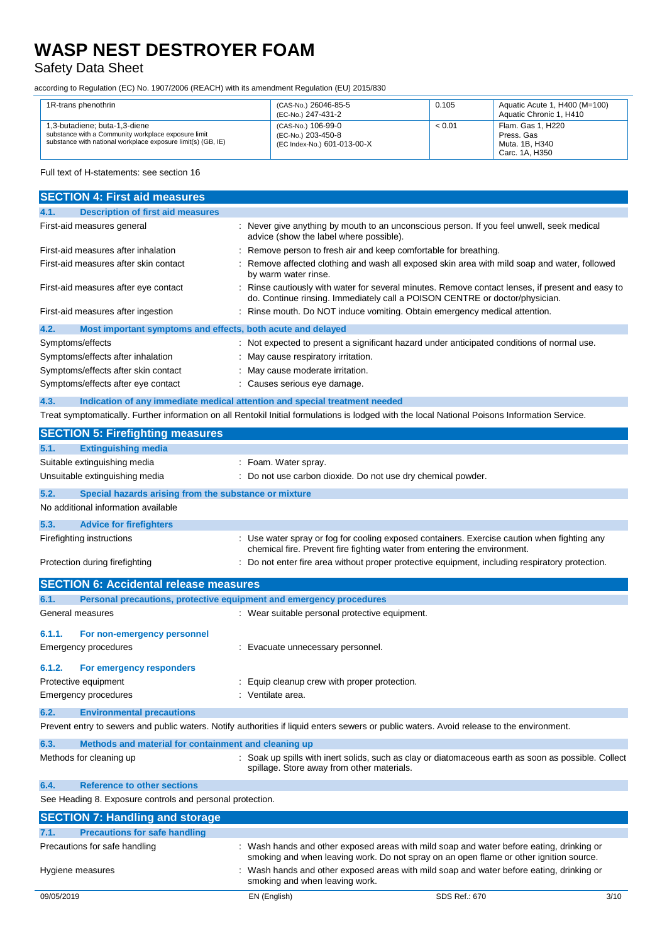## Safety Data Sheet

according to Regulation (EC) No. 1907/2006 (REACH) with its amendment Regulation (EU) 2015/830

| 1R-trans phenothrin                                                                                                                                  | (CAS-No.) 26046-85-5<br>(EC-No.) 247-431-2                              | 0.105  | Aquatic Acute 1, H400 (M=100)<br>Aquatic Chronic 1, H410            |
|------------------------------------------------------------------------------------------------------------------------------------------------------|-------------------------------------------------------------------------|--------|---------------------------------------------------------------------|
| 1.3-butadiene: buta-1.3-diene<br>substance with a Community workplace exposure limit<br>substance with national workplace exposure limit(s) (GB, IE) | (CAS-No.) 106-99-0<br>(EC-No.) 203-450-8<br>(EC Index-No.) 601-013-00-X | < 0.01 | Flam. Gas 1, H220<br>Press, Gas<br>Muta, 1B, H340<br>Carc. 1A. H350 |

#### Full text of H-statements: see section 16

| <b>SECTION 4: First aid measures</b>                                |                                                                                                                                                                               |
|---------------------------------------------------------------------|-------------------------------------------------------------------------------------------------------------------------------------------------------------------------------|
| <b>Description of first aid measures</b><br>4.1.                    |                                                                                                                                                                               |
| First-aid measures general                                          | : Never give anything by mouth to an unconscious person. If you feel unwell, seek medical<br>advice (show the label where possible).                                          |
| First-aid measures after inhalation                                 | : Remove person to fresh air and keep comfortable for breathing.                                                                                                              |
| First-aid measures after skin contact                               | Remove affected clothing and wash all exposed skin area with mild soap and water, followed<br>by warm water rinse.                                                            |
| First-aid measures after eye contact                                | Rinse cautiously with water for several minutes. Remove contact lenses, if present and easy to<br>do. Continue rinsing. Immediately call a POISON CENTRE or doctor/physician. |
| First-aid measures after ingestion                                  | Rinse mouth. Do NOT induce vomiting. Obtain emergency medical attention.                                                                                                      |
| 4.2.<br>Most important symptoms and effects, both acute and delayed |                                                                                                                                                                               |
| Symptoms/effects                                                    | : Not expected to present a significant hazard under anticipated conditions of normal use.                                                                                    |
| Symptoms/effects after inhalation                                   | May cause respiratory irritation.                                                                                                                                             |
| Symptoms/effects after skin contact                                 | May cause moderate irritation.                                                                                                                                                |
| Symptoms/effects after eye contact                                  | : Causes serious eye damage.                                                                                                                                                  |
| 4.3.                                                                | Indication of any immediate medical attention and special treatment needed                                                                                                    |

Treat symptomatically. Further information on all Rentokil Initial formulations is lodged with the local National Poisons Information Service.

|        | <b>SECTION 5: Firefighting measures</b>                             |                                                                                                                                                                          |
|--------|---------------------------------------------------------------------|--------------------------------------------------------------------------------------------------------------------------------------------------------------------------|
| 5.1.   | <b>Extinguishing media</b>                                          |                                                                                                                                                                          |
|        | Suitable extinguishing media                                        | : Foam. Water spray.                                                                                                                                                     |
|        |                                                                     |                                                                                                                                                                          |
|        | Unsuitable extinguishing media                                      | : Do not use carbon dioxide. Do not use dry chemical powder.                                                                                                             |
| 5.2.   | Special hazards arising from the substance or mixture               |                                                                                                                                                                          |
|        | No additional information available                                 |                                                                                                                                                                          |
| 5.3.   | <b>Advice for firefighters</b>                                      |                                                                                                                                                                          |
|        | Firefighting instructions                                           | : Use water spray or fog for cooling exposed containers. Exercise caution when fighting any<br>chemical fire. Prevent fire fighting water from entering the environment. |
|        | Protection during firefighting                                      | Do not enter fire area without proper protective equipment, including respiratory protection.                                                                            |
|        | <b>SECTION 6: Accidental release measures</b>                       |                                                                                                                                                                          |
| 6.1.   | Personal precautions, protective equipment and emergency procedures |                                                                                                                                                                          |
|        | General measures                                                    | : Wear suitable personal protective equipment.                                                                                                                           |
| 6.1.1. | For non-emergency personnel                                         |                                                                                                                                                                          |
|        | Emergency procedures                                                | Evacuate unnecessary personnel.                                                                                                                                          |
| 6.1.2. | For emergency responders                                            |                                                                                                                                                                          |
|        | Protective equipment                                                | Equip cleanup crew with proper protection.                                                                                                                               |
|        | Emergency procedures                                                | Ventilate area.                                                                                                                                                          |
| 6.2.   | <b>Environmental precautions</b>                                    |                                                                                                                                                                          |
|        |                                                                     | Prevent entry to sewers and public waters. Notify authorities if liquid enters sewers or public waters. Avoid release to the environment.                                |
| 6.3.   | Methods and material for containment and cleaning up                |                                                                                                                                                                          |
|        | Methods for cleaning up                                             | : Soak up spills with inert solids, such as clay or diatomaceous earth as soon as possible. Collect<br>spillage. Store away from other materials.                        |
| 6.4.   | <b>Reference to other sections</b>                                  |                                                                                                                                                                          |
|        | See Heading 8. Exposure controls and personal protection.           |                                                                                                                                                                          |

|                               | <b>SECTION 7: Handling and storage</b> |                                |                                                                                                                                                                                    |      |  |
|-------------------------------|----------------------------------------|--------------------------------|------------------------------------------------------------------------------------------------------------------------------------------------------------------------------------|------|--|
| 7.1.                          | <b>Precautions for safe handling</b>   |                                |                                                                                                                                                                                    |      |  |
| Precautions for safe handling |                                        |                                | : Wash hands and other exposed areas with mild soap and water before eating, drinking or<br>smoking and when leaving work. Do not spray on an open flame or other ignition source. |      |  |
| Hygiene measures              |                                        | smoking and when leaving work. | : Wash hands and other exposed areas with mild soap and water before eating, drinking or                                                                                           |      |  |
| 09/05/2019                    |                                        | EN (English)                   | SDS Ref.: 670                                                                                                                                                                      | 3/10 |  |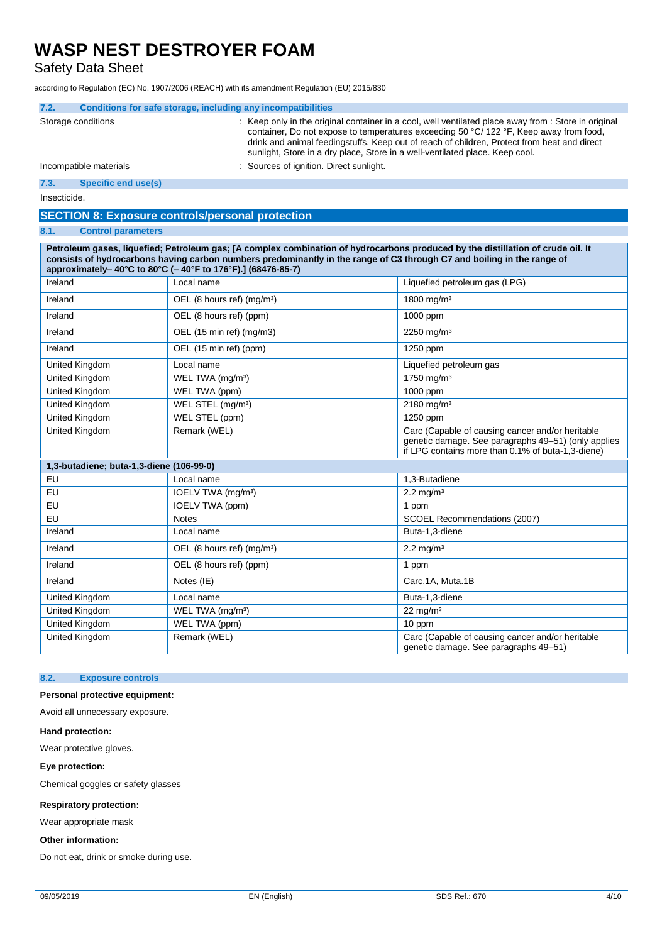Safety Data Sheet

according to Regulation (EC) No. 1907/2006 (REACH) with its amendment Regulation (EU) 2015/830

| 7.2.         | Conditions for safe storage, including any incompatibilities |                                                                                                                                                                                                                                                                                                                                                                               |
|--------------|--------------------------------------------------------------|-------------------------------------------------------------------------------------------------------------------------------------------------------------------------------------------------------------------------------------------------------------------------------------------------------------------------------------------------------------------------------|
|              | Storage conditions                                           | : Keep only in the original container in a cool, well ventilated place away from : Store in original<br>container. Do not expose to temperatures exceeding 50 °C/ 122 °F, Keep away from food,<br>drink and animal feedingstuffs, Keep out of reach of children, Protect from heat and direct<br>sunlight, Store in a dry place, Store in a well-ventilated place. Keep cool. |
|              | Incompatible materials                                       | : Sources of ignition. Direct sunlight.                                                                                                                                                                                                                                                                                                                                       |
| 7.3.         | <b>Specific end use(s)</b>                                   |                                                                                                                                                                                                                                                                                                                                                                               |
| Insecticide. |                                                              |                                                                                                                                                                                                                                                                                                                                                                               |

#### **SECTION 8: Exposure controls/personal protection**

#### **8.1. Control parameters**

**Petroleum gases, liquefied; Petroleum gas; [A complex combination of hydrocarbons produced by the distillation of crude oil. It consists of hydrocarbons having carbon numbers predominantly in the range of C3 through C7 and boiling in the range of approximately– 40°C to 80°C (– 40°F to 176°F).] (68476-85-7)**

| Ireland                                  | Local name                             | Liquefied petroleum gas (LPG)                                                                                                                                |
|------------------------------------------|----------------------------------------|--------------------------------------------------------------------------------------------------------------------------------------------------------------|
| Ireland                                  | OEL (8 hours ref) (mg/m <sup>3</sup> ) | 1800 mg/m <sup>3</sup>                                                                                                                                       |
| Ireland                                  | OEL (8 hours ref) (ppm)                | 1000 ppm                                                                                                                                                     |
| Ireland                                  | OEL (15 min ref) (mg/m3)               | 2250 mg/m <sup>3</sup>                                                                                                                                       |
| Ireland                                  | OEL (15 min ref) (ppm)                 | 1250 ppm                                                                                                                                                     |
| <b>United Kingdom</b>                    | Local name                             | Liquefied petroleum gas                                                                                                                                      |
| United Kingdom                           | WEL TWA (mg/m <sup>3</sup> )           | 1750 mg/m <sup>3</sup>                                                                                                                                       |
| United Kingdom                           | WEL TWA (ppm)                          | 1000 ppm                                                                                                                                                     |
| United Kingdom                           | WEL STEL (mg/m <sup>3</sup> )          | $2180$ mg/m <sup>3</sup>                                                                                                                                     |
| <b>United Kingdom</b>                    | WEL STEL (ppm)                         | 1250 ppm                                                                                                                                                     |
| <b>United Kingdom</b>                    | Remark (WEL)                           | Carc (Capable of causing cancer and/or heritable<br>genetic damage. See paragraphs 49-51) (only applies<br>if LPG contains more than 0.1% of buta-1.3-diene) |
| 1,3-butadiene; buta-1,3-diene (106-99-0) |                                        |                                                                                                                                                              |
| EU                                       | Local name                             | 1.3-Butadiene                                                                                                                                                |
| EU                                       | IOELV TWA (mg/m <sup>3</sup> )         | $2.2 \,\mathrm{mg/m^3}$                                                                                                                                      |
| EU                                       | IOELV TWA (ppm)                        | 1 ppm                                                                                                                                                        |
| EU                                       | <b>Notes</b>                           | SCOEL Recommendations (2007)                                                                                                                                 |
| Ireland                                  | Local name                             | Buta-1,3-diene                                                                                                                                               |
| Ireland                                  | OEL (8 hours ref) (mg/m <sup>3</sup> ) | $2.2 \,\mathrm{mg/m^3}$                                                                                                                                      |
| Ireland                                  | OEL (8 hours ref) (ppm)                | 1 ppm                                                                                                                                                        |
| Ireland                                  | Notes (IE)                             | Carc.1A, Muta.1B                                                                                                                                             |
| United Kingdom                           | Local name                             | Buta-1,3-diene                                                                                                                                               |
| United Kingdom                           | WEL TWA (mg/m <sup>3</sup> )           | $22 \text{ mg/m}^3$                                                                                                                                          |
| <b>United Kingdom</b>                    | WEL TWA (ppm)                          | 10 ppm                                                                                                                                                       |
| <b>United Kingdom</b>                    | Remark (WEL)                           | Carc (Capable of causing cancer and/or heritable<br>genetic damage. See paragraphs 49-51)                                                                    |

#### **8.2. Exposure controls**

#### **Personal protective equipment:**

Avoid all unnecessary exposure.

#### **Hand protection:**

Wear protective gloves.

#### **Eye protection:**

Chemical goggles or safety glasses

#### **Respiratory protection:**

Wear appropriate mask

#### **Other information:**

Do not eat, drink or smoke during use.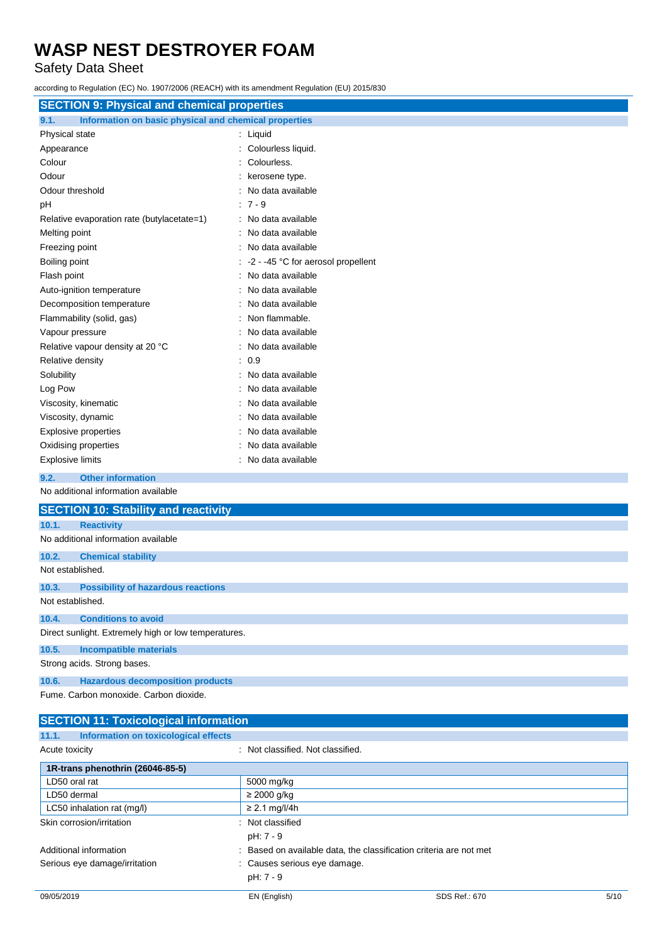Safety Data Sheet

according to Regulation (EC) No. 1907/2006 (REACH) with its amendment Regulation (EU) 2015/830

| <b>SECTION 9: Physical and chemical properties</b>            |                                    |  |
|---------------------------------------------------------------|------------------------------------|--|
| Information on basic physical and chemical properties<br>9.1. |                                    |  |
| Physical state                                                | : Liquid                           |  |
| Appearance                                                    | Colourless liquid.                 |  |
| Colour                                                        | Colourless.                        |  |
| Odour                                                         | kerosene type.                     |  |
| Odour threshold                                               | No data available                  |  |
| рH                                                            | $7 - 9$                            |  |
| Relative evaporation rate (butylacetate=1)                    | No data available                  |  |
| Melting point                                                 | No data available                  |  |
| Freezing point                                                | No data available                  |  |
| Boiling point                                                 | -2 - -45 °C for aerosol propellent |  |
| Flash point                                                   | No data available                  |  |
| Auto-ignition temperature                                     | No data available                  |  |
| Decomposition temperature                                     | No data available                  |  |
| Flammability (solid, gas)                                     | Non flammable.                     |  |
| Vapour pressure                                               | No data available                  |  |
| Relative vapour density at 20 °C                              | No data available                  |  |
| Relative density                                              | 0.9                                |  |
| Solubility                                                    | No data available                  |  |
| Log Pow                                                       | No data available                  |  |
| Viscosity, kinematic                                          | No data available                  |  |
| No data available<br>Viscosity, dynamic                       |                                    |  |
| No data available<br>Explosive properties                     |                                    |  |
| No data available<br>Oxidising properties                     |                                    |  |
| Explosive limits<br>No data available                         |                                    |  |
| <b>Other information</b><br>9.2.                              |                                    |  |
| No additional information available                           |                                    |  |
| <b>SECTION 10: Stability and reactivity</b>                   |                                    |  |
| 10.1.<br><b>Reactivity</b>                                    |                                    |  |
| No additional information available                           |                                    |  |
| 10.2.<br><b>Chemical stability</b>                            |                                    |  |
| Not established.                                              |                                    |  |
| 10.3.<br><b>Possibility of hazardous reactions</b>            |                                    |  |
| Not established.                                              |                                    |  |
| 10.4.<br><b>Conditions to avoid</b>                           |                                    |  |
| Direct sunlight. Extremely high or low temperatures.          |                                    |  |
| 10.5.<br><b>Incompatible materials</b>                        |                                    |  |
| Strong acids. Strong bases.                                   |                                    |  |
| 10.6.<br><b>Hazardous decomposition products</b>              |                                    |  |
| Fume, Carbon monoxide, Carbon dioxide.                        |                                    |  |
| <b>SECTION 11: Toxicological information</b>                  |                                    |  |
| <b>Information on toxicological effects</b><br>11.1.          |                                    |  |

| Acute toxicity                   | Not classified. Not classified.<br>÷.                              |
|----------------------------------|--------------------------------------------------------------------|
| 1R-trans phenothrin (26046-85-5) |                                                                    |
| LD50 oral rat                    | 5000 mg/kg                                                         |
| LD50 dermal                      | $\geq$ 2000 g/kg                                                   |
| LC50 inhalation rat (mg/l)       | $≥ 2.1$ mg/l/4h                                                    |
| Skin corrosion/irritation        | : Not classified                                                   |
|                                  | pH: 7 - 9                                                          |
| Additional information           | : Based on available data, the classification criteria are not met |
| Serious eye damage/irritation    | : Causes serious eye damage.                                       |
|                                  | pH: 7 - 9                                                          |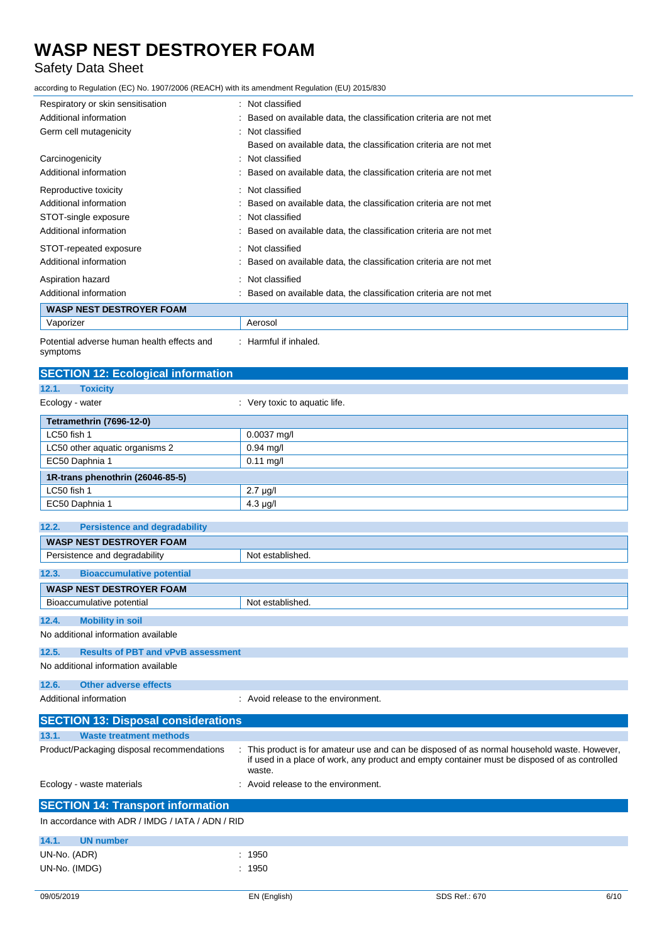## Safety Data Sheet

according to Regulation (EC) No. 1907/2006 (REACH) with its amendment Regulation (EU) 2015/830

| Respiratory or skin sensitisation          | : Not classified                                                   |
|--------------------------------------------|--------------------------------------------------------------------|
| Additional information                     | : Based on available data, the classification criteria are not met |
| Germ cell mutagenicity                     | : Not classified                                                   |
|                                            | Based on available data, the classification criteria are not met   |
| Carcinogenicity                            | : Not classified                                                   |
| Additional information                     | : Based on available data, the classification criteria are not met |
| Reproductive toxicity                      | : Not classified                                                   |
| Additional information                     | : Based on available data, the classification criteria are not met |
| STOT-single exposure                       | : Not classified                                                   |
| Additional information                     | : Based on available data, the classification criteria are not met |
| STOT-repeated exposure                     | : Not classified                                                   |
| Additional information                     | : Based on available data, the classification criteria are not met |
| Aspiration hazard                          | : Not classified                                                   |
| Additional information                     | : Based on available data, the classification criteria are not met |
| <b>WASP NEST DESTROYER FOAM</b>            |                                                                    |
| Vaporizer                                  | Aerosol                                                            |
| Potential adverse human health effects and | : Harmful if inhaled.                                              |

Potential adverse human health effects and symptoms

| <b>SECTION 12: Ecological information</b>          |                                                                                                                                                                                                       |
|----------------------------------------------------|-------------------------------------------------------------------------------------------------------------------------------------------------------------------------------------------------------|
| 12.1.<br><b>Toxicity</b>                           |                                                                                                                                                                                                       |
| Ecology - water                                    | : Very toxic to aquatic life.                                                                                                                                                                         |
| <b>Tetramethrin (7696-12-0)</b>                    |                                                                                                                                                                                                       |
| LC50 fish 1                                        | $0.0037$ mg/l                                                                                                                                                                                         |
| LC50 other aquatic organisms 2                     | $0.94$ mg/l                                                                                                                                                                                           |
| EC50 Daphnia 1                                     | $0.11$ mg/l                                                                                                                                                                                           |
| 1R-trans phenothrin (26046-85-5)                   |                                                                                                                                                                                                       |
| LC50 fish 1                                        | $2.7 \mu g/l$                                                                                                                                                                                         |
| EC50 Daphnia 1                                     | $4.3 \mu g/l$                                                                                                                                                                                         |
| 12.2.                                              |                                                                                                                                                                                                       |
| <b>Persistence and degradability</b>               |                                                                                                                                                                                                       |
| <b>WASP NEST DESTROYER FOAM</b>                    |                                                                                                                                                                                                       |
| Persistence and degradability                      | Not established.                                                                                                                                                                                      |
| 12.3.<br><b>Bioaccumulative potential</b>          |                                                                                                                                                                                                       |
| <b>WASP NEST DESTROYER FOAM</b>                    |                                                                                                                                                                                                       |
| Bioaccumulative potential                          | Not established.                                                                                                                                                                                      |
| <b>Mobility in soil</b><br>12.4.                   |                                                                                                                                                                                                       |
| No additional information available                |                                                                                                                                                                                                       |
| <b>Results of PBT and vPvB assessment</b><br>12.5. |                                                                                                                                                                                                       |
| No additional information available                |                                                                                                                                                                                                       |
| <b>Other adverse effects</b><br>12.6.              |                                                                                                                                                                                                       |
| Additional information                             | Avoid release to the environment.                                                                                                                                                                     |
|                                                    |                                                                                                                                                                                                       |
| <b>SECTION 13: Disposal considerations</b>         |                                                                                                                                                                                                       |
| 13.1.<br><b>Waste treatment methods</b>            |                                                                                                                                                                                                       |
| Product/Packaging disposal recommendations         | This product is for amateur use and can be disposed of as normal household waste. However,<br>if used in a place of work, any product and empty container must be disposed of as controlled<br>waste. |

Ecology - waste materials **Example 20** in Avoid release to the environment.

## **SECTION 14: Transport information** In accordance with ADR / IMDG / IATA / ADN / RID

| 14.1.         | <b>UN number</b> |        |
|---------------|------------------|--------|
| UN-No. (ADR)  |                  | : 1950 |
| UN-No. (IMDG) |                  | : 1950 |
|               |                  |        |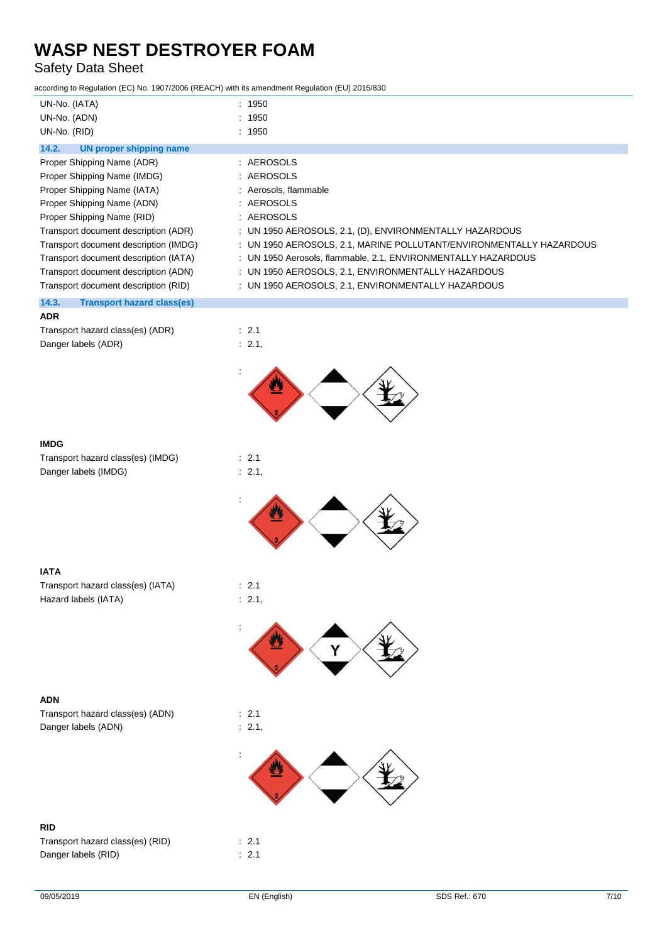## Safety Data Sheet

| according to Regulation (EC) No. 1907/2006 (REACH) with its amendment Regulation (EU) 2015/830 |                                                                                                          |
|------------------------------------------------------------------------------------------------|----------------------------------------------------------------------------------------------------------|
| UN-No. (IATA)                                                                                  | : 1950                                                                                                   |
| UN-No. (ADN)                                                                                   | : 1950                                                                                                   |
| UN-No. (RID)                                                                                   | : 1950                                                                                                   |
| 14.2.<br><b>UN proper shipping name</b>                                                        |                                                                                                          |
| Proper Shipping Name (ADR)                                                                     | : AEROSOLS                                                                                               |
| Proper Shipping Name (IMDG)                                                                    | : AEROSOLS                                                                                               |
| Proper Shipping Name (IATA)                                                                    | : Aerosols, flammable                                                                                    |
| Proper Shipping Name (ADN)                                                                     | : AEROSOLS                                                                                               |
| Proper Shipping Name (RID)                                                                     | : AEROSOLS                                                                                               |
| Transport document description (ADR)                                                           | : UN 1950 AEROSOLS, 2.1, (D), ENVIRONMENTALLY HAZARDOUS                                                  |
| Transport document description (IMDG)                                                          | : UN 1950 AEROSOLS, 2.1, MARINE POLLUTANT/ENVIRONMENTALLY HAZARDOUS                                      |
| Transport document description (IATA)                                                          | : UN 1950 Aerosols, flammable, 2.1, ENVIRONMENTALLY HAZARDOUS                                            |
| Transport document description (ADN)<br>Transport document description (RID)                   | : UN 1950 AEROSOLS, 2.1, ENVIRONMENTALLY HAZARDOUS<br>: UN 1950 AEROSOLS, 2.1, ENVIRONMENTALLY HAZARDOUS |
|                                                                                                |                                                                                                          |
| 14.3.<br><b>Transport hazard class(es)</b><br><b>ADR</b>                                       |                                                                                                          |
| Transport hazard class(es) (ADR)                                                               | : 2.1                                                                                                    |
| Danger labels (ADR)                                                                            | : 2.1,                                                                                                   |
|                                                                                                |                                                                                                          |
|                                                                                                |                                                                                                          |
| <b>IMDG</b>                                                                                    |                                                                                                          |
| Transport hazard class(es) (IMDG)                                                              | : 2.1                                                                                                    |
| Danger labels (IMDG)                                                                           | : 2.1,                                                                                                   |
|                                                                                                |                                                                                                          |
| <b>IATA</b>                                                                                    |                                                                                                          |
| Transport hazard class(es) (IATA)                                                              | $\therefore$ 2.1                                                                                         |
| Hazard labels (IATA)                                                                           | : 2.1,                                                                                                   |
|                                                                                                |                                                                                                          |
|                                                                                                | Y                                                                                                        |
| <b>ADN</b>                                                                                     |                                                                                                          |
| Transport hazard class(es) (ADN)                                                               | : 2.1                                                                                                    |
| Danger labels (ADN)                                                                            | : 2.1,                                                                                                   |
|                                                                                                |                                                                                                          |
|                                                                                                |                                                                                                          |
| <b>RID</b>                                                                                     |                                                                                                          |
| Transport hazard class(es) (RID)                                                               | : 2.1                                                                                                    |
| Danger labels (RID)                                                                            | : 2.1                                                                                                    |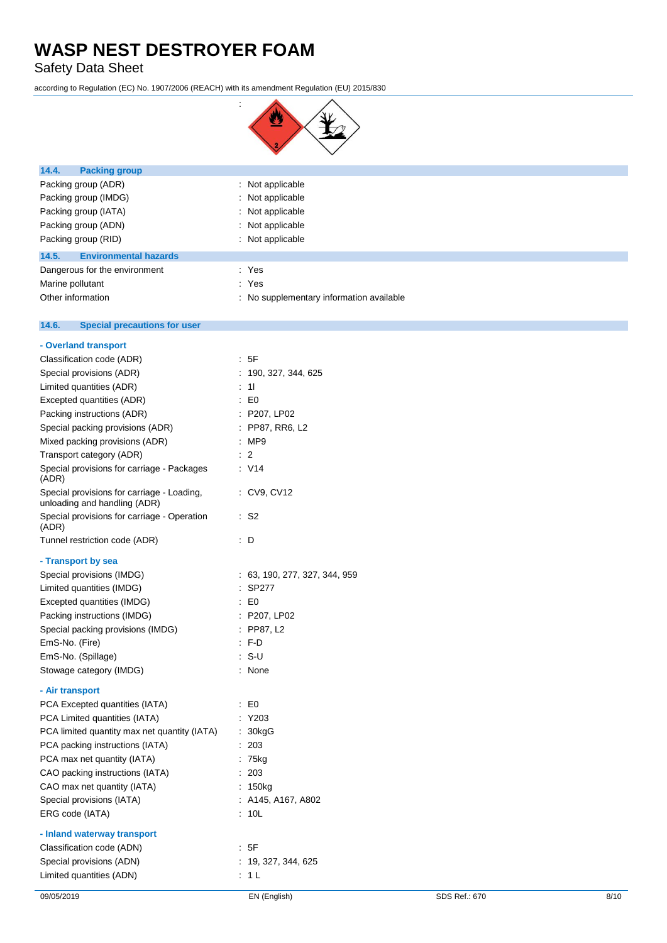Safety Data Sheet

according to Regulation (EC) No. 1907/2006 (REACH) with its amendment Regulation (EU) 2015/830

:



| <b>Packing group</b><br>14.4.         |                                          |
|---------------------------------------|------------------------------------------|
| Packing group (ADR)                   | $\therefore$ Not applicable              |
| Packing group (IMDG)                  | : Not applicable                         |
| Packing group (IATA)                  | : Not applicable                         |
| Packing group (ADN)                   | $\therefore$ Not applicable              |
| Packing group (RID)                   | $\therefore$ Not applicable              |
| 14.5.<br><b>Environmental hazards</b> |                                          |
| Dangerous for the environment         | : Yes                                    |
| Marine pollutant                      | : Yes                                    |
| Other information                     | : No supplementary information available |

| 14.6.<br><b>Special precautions for user</b>                               |                               |               |      |
|----------------------------------------------------------------------------|-------------------------------|---------------|------|
| - Overland transport                                                       |                               |               |      |
| Classification code (ADR)                                                  | : 5F                          |               |      |
| Special provisions (ADR)                                                   | : 190, 327, 344, 625          |               |      |
| Limited quantities (ADR)                                                   | $\therefore$ 11               |               |      |
| Excepted quantities (ADR)                                                  | $\pm 50$                      |               |      |
| Packing instructions (ADR)                                                 | : P207, LP02                  |               |      |
| Special packing provisions (ADR)                                           | : PP87, RR6, L2               |               |      |
| Mixed packing provisions (ADR)                                             | : MP9                         |               |      |
| Transport category (ADR)                                                   | $\therefore$ 2                |               |      |
| Special provisions for carriage - Packages<br>(ADR)                        | : V14                         |               |      |
| Special provisions for carriage - Loading,<br>unloading and handling (ADR) | : CV9, CV12                   |               |      |
| Special provisions for carriage - Operation<br>(ADR)                       | $:$ S <sub>2</sub>            |               |      |
| Tunnel restriction code (ADR)                                              | : D                           |               |      |
| - Transport by sea                                                         |                               |               |      |
| Special provisions (IMDG)                                                  | : 63, 190, 277, 327, 344, 959 |               |      |
| Limited quantities (IMDG)                                                  | : SP277                       |               |      |
| Excepted quantities (IMDG)                                                 | E0                            |               |      |
| Packing instructions (IMDG)                                                | : P207, LP02                  |               |      |
| Special packing provisions (IMDG)                                          | : PP87, L2                    |               |      |
| EmS-No. (Fire)                                                             | $: F-D$                       |               |      |
| EmS-No. (Spillage)                                                         | $: S-U$                       |               |      |
| Stowage category (IMDG)                                                    | : None                        |               |      |
| - Air transport                                                            |                               |               |      |
| PCA Excepted quantities (IATA)                                             | $\pm 50$                      |               |      |
| PCA Limited quantities (IATA)                                              | $:$ Y203                      |               |      |
| PCA limited quantity max net quantity (IATA)                               | : 30kgG                       |               |      |
| PCA packing instructions (IATA)                                            | : 203                         |               |      |
| PCA max net quantity (IATA)                                                | : 75kg                        |               |      |
| CAO packing instructions (IATA)                                            | : 203                         |               |      |
| CAO max net quantity (IATA)                                                | : 150kg                       |               |      |
| Special provisions (IATA)                                                  | $:$ A145, A167, A802          |               |      |
| ERG code (IATA)                                                            | : 10L                         |               |      |
| - Inland waterway transport                                                |                               |               |      |
| Classification code (ADN)                                                  | : 5F                          |               |      |
| Special provisions (ADN)                                                   | : 19, 327, 344, 625           |               |      |
| Limited quantities (ADN)                                                   | : 1 L                         |               |      |
| 09/05/2019                                                                 | EN (English)                  | SDS Ref.: 670 | 8/1C |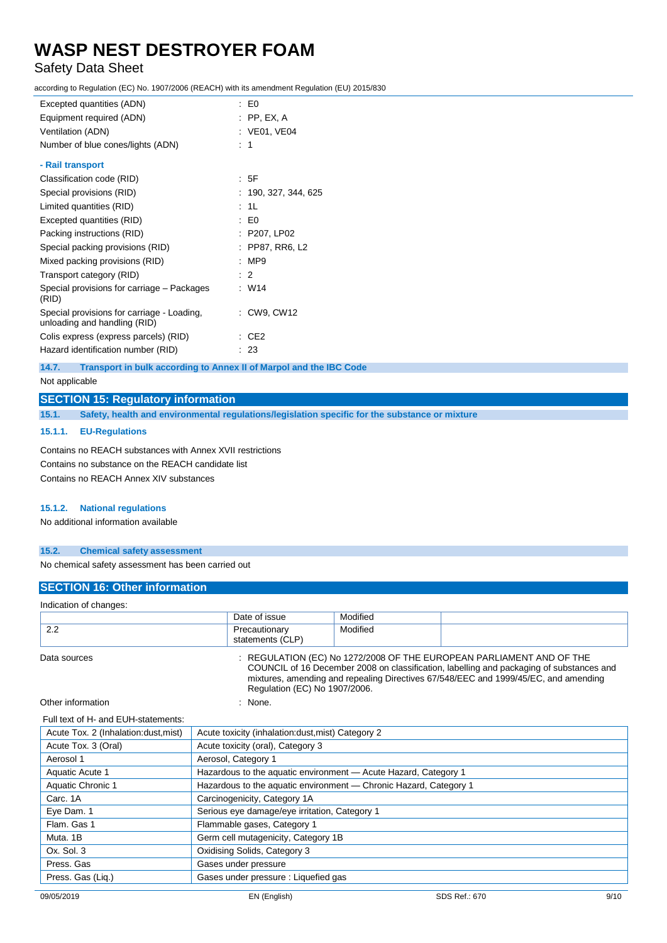## Safety Data Sheet

according to Regulation (EC) No. 1907/2006 (REACH) with its amendment Regulation (EU) 2015/830

| Excepted quantities (ADN)                                                  | $\mathbf{E}$ EQ      |
|----------------------------------------------------------------------------|----------------------|
| Equipment required (ADN)                                                   | $:$ PP, EX, A        |
| Ventilation (ADN)                                                          | : VE01, VE04         |
| Number of blue cones/lights (ADN)                                          | : 1                  |
| - Rail transport                                                           |                      |
| Classification code (RID)                                                  | : 5F                 |
| Special provisions (RID)                                                   | : 190, 327, 344, 625 |
| Limited quantities (RID)                                                   | : 1L                 |
| Excepted quantities (RID)                                                  | : E0                 |
| Packing instructions (RID)                                                 | : P207, LP02         |
| Special packing provisions (RID)                                           | : PP87, RR6, L2      |
| Mixed packing provisions (RID)                                             | :MP9                 |
| Transport category (RID)                                                   | $\therefore$ 2       |
| Special provisions for carriage - Packages<br>(RID)                        | : W14                |
| Special provisions for carriage - Loading,<br>unloading and handling (RID) | : CW9, CW12          |
| Colis express (express parcels) (RID)                                      | CE2                  |
| Hazard identification number (RID)                                         | -23                  |

**14.7. Transport in bulk according to Annex II of Marpol and the IBC Code**

Not applicable

#### **SECTION 15: Regulatory information**

**15.1. Safety, health and environmental regulations/legislation specific for the substance or mixture**

#### **15.1.1. EU-Regulations**

Contains no REACH substances with Annex XVII restrictions Contains no substance on the REACH candidate list Contains no REACH Annex XIV substances

#### **15.1.2. National regulations**

No additional information available

#### **15.2. Chemical safety assessment**

No chemical safety assessment has been carried out

## **SECTION 16: Other information**

| Indication of changes:                |                                                    |          |                                                                                                                                                                                                                                                         |
|---------------------------------------|----------------------------------------------------|----------|---------------------------------------------------------------------------------------------------------------------------------------------------------------------------------------------------------------------------------------------------------|
|                                       | Date of issue                                      | Modified |                                                                                                                                                                                                                                                         |
| 2.2                                   | Precautionary<br>statements (CLP)                  | Modified |                                                                                                                                                                                                                                                         |
| Data sources                          | Regulation (EC) No 1907/2006.                      |          | : REGULATION (EC) No 1272/2008 OF THE EUROPEAN PARLIAMENT AND OF THE<br>COUNCIL of 16 December 2008 on classification, labelling and packaging of substances and<br>mixtures, amending and repealing Directives 67/548/EEC and 1999/45/EC, and amending |
| Other information                     | : None.                                            |          |                                                                                                                                                                                                                                                         |
| Full text of H- and EUH-statements:   |                                                    |          |                                                                                                                                                                                                                                                         |
| Acute Tox. 2 (Inhalation: dust, mist) | Acute toxicity (inhalation: dust, mist) Category 2 |          |                                                                                                                                                                                                                                                         |
|                                       |                                                    |          |                                                                                                                                                                                                                                                         |

| Acute Tox. 3 (Oral) | Acute toxicity (oral), Category 3                                 |  |
|---------------------|-------------------------------------------------------------------|--|
| Aerosol 1           | Aerosol, Category 1                                               |  |
| Aquatic Acute 1     | Hazardous to the aquatic environment - Acute Hazard, Category 1   |  |
| Aquatic Chronic 1   | Hazardous to the aquatic environment - Chronic Hazard, Category 1 |  |
| Carc. 1A            | Carcinogenicity, Category 1A                                      |  |
| Eye Dam. 1          | Serious eye damage/eye irritation, Category 1                     |  |
| Flam. Gas 1         | Flammable gases, Category 1                                       |  |
| Muta, 1B            | Germ cell mutagenicity, Category 1B                               |  |
| Ox. Sol. 3          | Oxidising Solids, Category 3                                      |  |
| Press, Gas          | Gases under pressure                                              |  |
| Press. Gas (Liq.)   | Gases under pressure : Liquefied gas                              |  |
|                     |                                                                   |  |